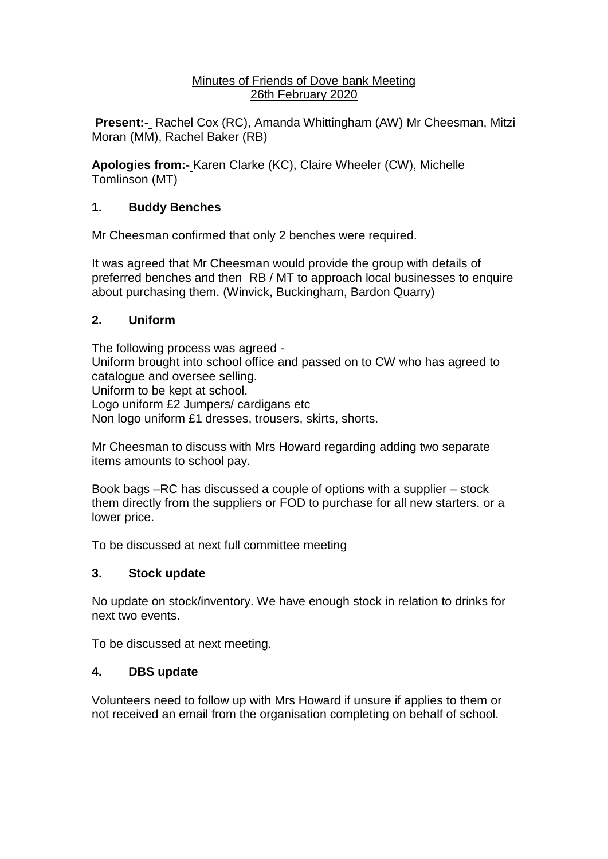#### Minutes of Friends of Dove bank Meeting 26th February 2020

**Present:-** Rachel Cox (RC), Amanda Whittingham (AW) Mr Cheesman, Mitzi Moran (MM), Rachel Baker (RB)

**Apologies from:-** Karen Clarke (KC), Claire Wheeler (CW), Michelle Tomlinson (MT)

# **1. Buddy Benches**

Mr Cheesman confirmed that only 2 benches were required.

It was agreed that Mr Cheesman would provide the group with details of preferred benches and then RB / MT to approach local businesses to enquire about purchasing them. (Winvick, Buckingham, Bardon Quarry)

## **2. Uniform**

The following process was agreed - Uniform brought into school office and passed on to CW who has agreed to catalogue and oversee selling. Uniform to be kept at school. Logo uniform £2 Jumpers/ cardigans etc Non logo uniform £1 dresses, trousers, skirts, shorts.

Mr Cheesman to discuss with Mrs Howard regarding adding two separate items amounts to school pay.

Book bags –RC has discussed a couple of options with a supplier – stock them directly from the suppliers or FOD to purchase for all new starters. or a lower price.

To be discussed at next full committee meeting

## **3. Stock update**

No update on stock/inventory. We have enough stock in relation to drinks for next two events.

To be discussed at next meeting.

## **4. DBS update**

Volunteers need to follow up with Mrs Howard if unsure if applies to them or not received an email from the organisation completing on behalf of school.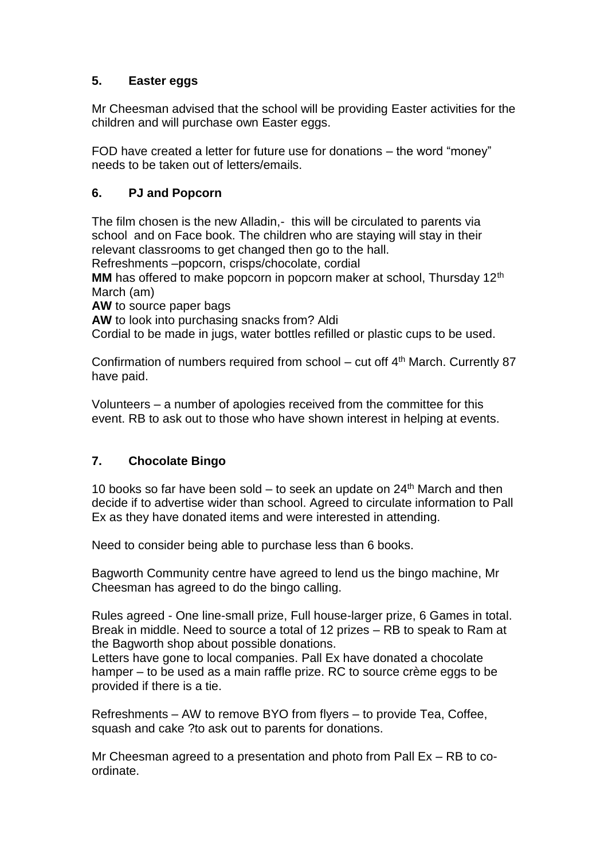# **5. Easter eggs**

Mr Cheesman advised that the school will be providing Easter activities for the children and will purchase own Easter eggs.

FOD have created a letter for future use for donations – the word "money" needs to be taken out of letters/emails.

## **6. PJ and Popcorn**

The film chosen is the new Alladin,- this will be circulated to parents via school and on Face book. The children who are staying will stay in their relevant classrooms to get changed then go to the hall. Refreshments –popcorn, crisps/chocolate, cordial

**MM** has offered to make popcorn in popcorn maker at school, Thursday 12<sup>th</sup> March (am)

**AW** to source paper bags

**AW** to look into purchasing snacks from? Aldi

Cordial to be made in jugs, water bottles refilled or plastic cups to be used.

Confirmation of numbers required from school – cut off  $4<sup>th</sup>$  March. Currently 87 have paid.

Volunteers – a number of apologies received from the committee for this event. RB to ask out to those who have shown interest in helping at events.

## **7. Chocolate Bingo**

10 books so far have been sold – to seek an update on  $24<sup>th</sup>$  March and then decide if to advertise wider than school. Agreed to circulate information to Pall Ex as they have donated items and were interested in attending.

Need to consider being able to purchase less than 6 books.

Bagworth Community centre have agreed to lend us the bingo machine, Mr Cheesman has agreed to do the bingo calling.

Rules agreed - One line-small prize, Full house-larger prize, 6 Games in total. Break in middle. Need to source a total of 12 prizes – RB to speak to Ram at the Bagworth shop about possible donations.

Letters have gone to local companies. Pall Ex have donated a chocolate hamper – to be used as a main raffle prize. RC to source crème eggs to be provided if there is a tie.

Refreshments – AW to remove BYO from flyers – to provide Tea, Coffee, squash and cake ?to ask out to parents for donations.

Mr Cheesman agreed to a presentation and photo from Pall Ex – RB to coordinate.